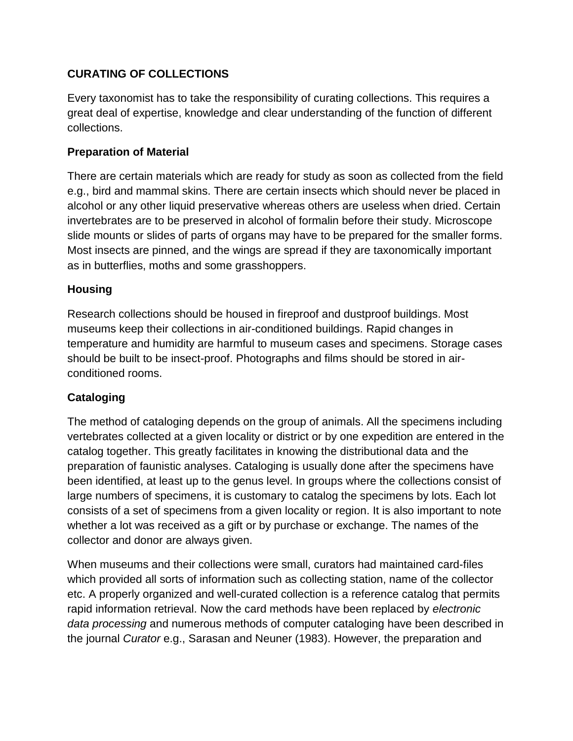## **CURATING OF COLLECTIONS**

Every taxonomist has to take the responsibility of curating collections. This requires a great deal of expertise, knowledge and clear understanding of the function of different collections.

#### **Preparation of Material**

There are certain materials which are ready for study as soon as collected from the field e.g., bird and mammal skins. There are certain insects which should never be placed in alcohol or any other liquid preservative whereas others are useless when dried. Certain invertebrates are to be preserved in alcohol of formalin before their study. Microscope slide mounts or slides of parts of organs may have to be prepared for the smaller forms. Most insects are pinned, and the wings are spread if they are taxonomically important as in butterflies, moths and some grasshoppers.

#### **Housing**

Research collections should be housed in fireproof and dustproof buildings. Most museums keep their collections in air-conditioned buildings. Rapid changes in temperature and humidity are harmful to museum cases and specimens. Storage cases should be built to be insect-proof. Photographs and films should be stored in airconditioned rooms.

## **Cataloging**

The method of cataloging depends on the group of animals. All the specimens including vertebrates collected at a given locality or district or by one expedition are entered in the catalog together. This greatly facilitates in knowing the distributional data and the preparation of faunistic analyses. Cataloging is usually done after the specimens have been identified, at least up to the genus level. In groups where the collections consist of large numbers of specimens, it is customary to catalog the specimens by lots. Each lot consists of a set of specimens from a given locality or region. It is also important to note whether a lot was received as a gift or by purchase or exchange. The names of the collector and donor are always given.

When museums and their collections were small, curators had maintained card-files which provided all sorts of information such as collecting station, name of the collector etc. A properly organized and well-curated collection is a reference catalog that permits rapid information retrieval. Now the card methods have been replaced by *electronic data processing* and numerous methods of computer cataloging have been described in the journal *Curator* e.g., Sarasan and Neuner (1983). However, the preparation and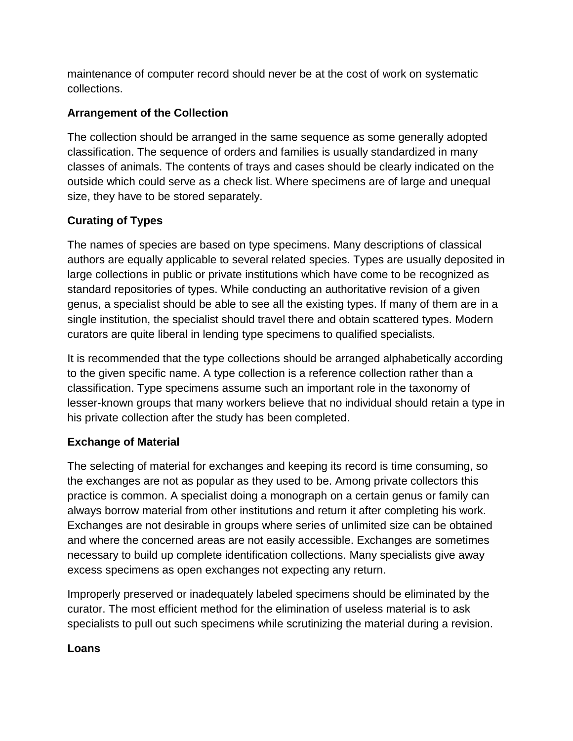maintenance of computer record should never be at the cost of work on systematic collections.

## **Arrangement of the Collection**

The collection should be arranged in the same sequence as some generally adopted classification. The sequence of orders and families is usually standardized in many classes of animals. The contents of trays and cases should be clearly indicated on the outside which could serve as a check list. Where specimens are of large and unequal size, they have to be stored separately.

# **Curating of Types**

The names of species are based on type specimens. Many descriptions of classical authors are equally applicable to several related species. Types are usually deposited in large collections in public or private institutions which have come to be recognized as standard repositories of types. While conducting an authoritative revision of a given genus, a specialist should be able to see all the existing types. If many of them are in a single institution, the specialist should travel there and obtain scattered types. Modern curators are quite liberal in lending type specimens to qualified specialists.

It is recommended that the type collections should be arranged alphabetically according to the given specific name. A type collection is a reference collection rather than a classification. Type specimens assume such an important role in the taxonomy of lesser-known groups that many workers believe that no individual should retain a type in his private collection after the study has been completed.

## **Exchange of Material**

The selecting of material for exchanges and keeping its record is time consuming, so the exchanges are not as popular as they used to be. Among private collectors this practice is common. A specialist doing a monograph on a certain genus or family can always borrow material from other institutions and return it after completing his work. Exchanges are not desirable in groups where series of unlimited size can be obtained and where the concerned areas are not easily accessible. Exchanges are sometimes necessary to build up complete identification collections. Many specialists give away excess specimens as open exchanges not expecting any return.

Improperly preserved or inadequately labeled specimens should be eliminated by the curator. The most efficient method for the elimination of useless material is to ask specialists to pull out such specimens while scrutinizing the material during a revision.

#### **Loans**